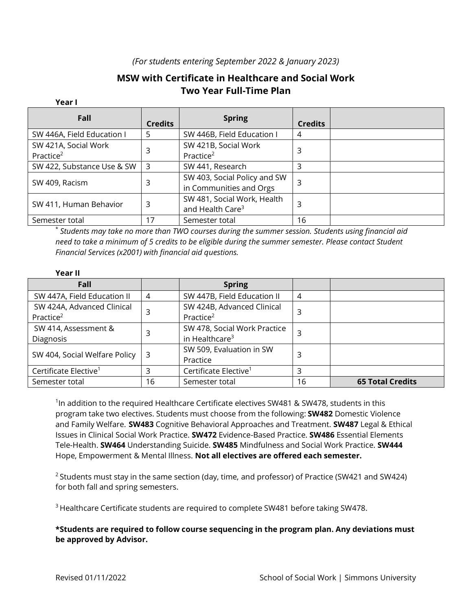## *(For students entering September 2022 & January 2023)*

## **MSW with Certificate in Healthcare and Social Work Two Year Full-Time Plan**

## **Year I**

| Fall                       | <b>Credits</b> | <b>Spring</b>                | <b>Credits</b> |  |
|----------------------------|----------------|------------------------------|----------------|--|
| SW 446A, Field Education I | 5              | SW 446B, Field Education I   | 4              |  |
| SW 421A, Social Work       | 3              | SW 421B, Social Work         | 3              |  |
| Practice <sup>2</sup>      |                | Practice <sup>2</sup>        |                |  |
| SW 422, Substance Use & SW | $\overline{3}$ | SW 441, Research             | 3              |  |
| SW 409, Racism             | 3              | SW 403, Social Policy and SW | 3              |  |
|                            |                | in Communities and Orgs      |                |  |
| SW 411, Human Behavior     | 3              | SW 481, Social Work, Health  | 3              |  |
|                            |                | and Health Care <sup>3</sup> |                |  |
| Semester total             | 17             | Semester total               | 16             |  |

\* *Students may take no more than TWO courses during the summer session. Students using financial aid need to take a minimum of 5 credits to be eligible during the summer semester. Please contact Student Financial Services (x2001) with financial aid questions.*

## **Year II**

| Fall                              |    | <b>Spring</b>                     |    |                         |
|-----------------------------------|----|-----------------------------------|----|-------------------------|
| SW 447A, Field Education II       | 4  | SW 447B, Field Education II       | 4  |                         |
| SW 424A, Advanced Clinical        |    | SW 424B, Advanced Clinical        | 3  |                         |
| Practice <sup>2</sup>             |    | Practice <sup>2</sup>             |    |                         |
| SW 414, Assessment &              |    | SW 478, Social Work Practice      |    |                         |
| Diagnosis                         |    | in Healthcare <sup>3</sup>        |    |                         |
| SW 404, Social Welfare Policy     | -3 | SW 509, Evaluation in SW          | 3  |                         |
|                                   |    | Practice                          |    |                         |
| Certificate Elective <sup>1</sup> |    | Certificate Elective <sup>1</sup> | 3  |                         |
| Semester total                    | 16 | Semester total                    | 16 | <b>65 Total Credits</b> |

 $1$ In addition to the required Healthcare Certificate electives SW481 & SW478, students in this program take two electives. Students must choose from the following: **SW482** Domestic Violence and Family Welfare. **SW483** Cognitive Behavioral Approaches and Treatment. **SW487** Legal & Ethical Issues in Clinical Social Work Practice. **SW472** Evidence-Based Practice. **SW486** Essential Elements Tele-Health. **SW464** Understanding Suicide. **SW485** Mindfulness and Social Work Practice. **SW444**  Hope, Empowerment & Mental Illness. **Not all electives are offered each semester.**

 $2$  Students must stay in the same section (day, time, and professor) of Practice (SW421 and SW424) for both fall and spring semesters.

<sup>3</sup> Healthcare Certificate students are required to complete SW481 before taking SW478.

**\*Students are required to follow course sequencing in the program plan. Any deviations must be approved by Advisor.**